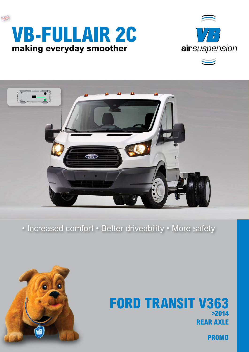





## • Increased comfort • Better driveability • More safety



## **rear axle FORD TRANSIT V363 >2014**

**PROMO**